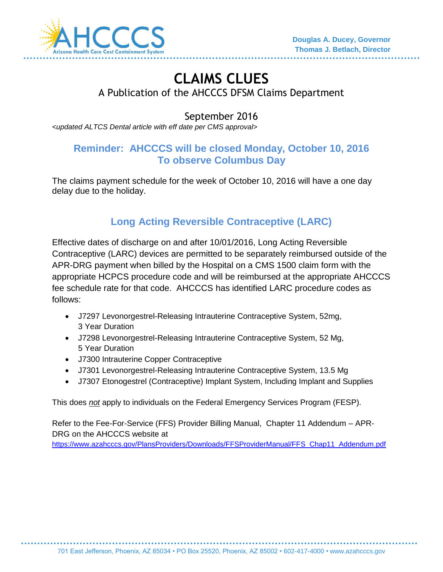

# **CLAIMS CLUES**  A Publication of the AHCCCS DFSM Claims Department

## September 2016

*<updated ALTCS Dental article with eff date per CMS approval>*

#### **Reminder: AHCCCS will be closed Monday, October 10, 2016 To observe Columbus Day**

The claims payment schedule for the week of October 10, 2016 will have a one day delay due to the holiday.

# **Long Acting Reversible Contraceptive (LARC)**

Effective dates of discharge on and after 10/01/2016, Long Acting Reversible Contraceptive (LARC) devices are permitted to be separately reimbursed outside of the APR-DRG payment when billed by the Hospital on a CMS 1500 claim form with the appropriate HCPCS procedure code and will be reimbursed at the appropriate AHCCCS fee schedule rate for that code. AHCCCS has identified LARC procedure codes as follows:

- J7297 Levonorgestrel-Releasing Intrauterine Contraceptive System, 52mg, 3 Year Duration
- J7298 Levonorgestrel-Releasing Intrauterine Contraceptive System, 52 Mg, 5 Year Duration
- J7300 Intrauterine Copper Contraceptive
- J7301 Levonorgestrel-Releasing Intrauterine Contraceptive System, 13.5 Mg
- J7307 Etonogestrel (Contraceptive) Implant System, Including Implant and Supplies

This does *not* apply to individuals on the Federal Emergency Services Program (FESP).

Refer to the Fee-For-Service (FFS) Provider Billing Manual, Chapter 11 Addendum – APR-DRG on the AHCCCS website at

[https://www.azahcccs.gov/PlansProviders/Downloads/FFSProviderManual/FFS\\_Chap11\\_Addendum.pdf](https://www.azahcccs.gov/PlansProviders/Downloads/FFSProviderManual/FFS_Chap11_Addendum.pdf)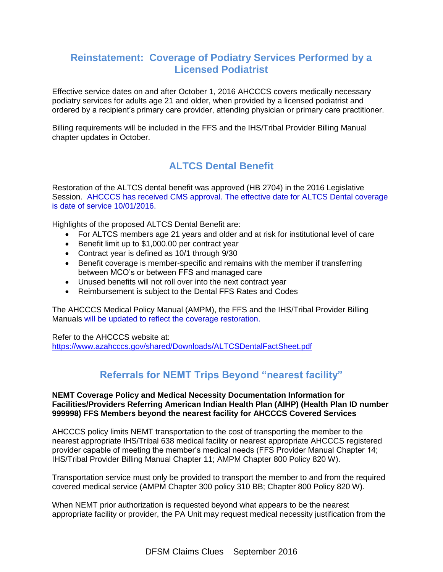#### **Reinstatement: Coverage of Podiatry Services Performed by a Licensed Podiatrist**

Effective service dates on and after October 1, 2016 AHCCCS covers medically necessary podiatry services for adults age 21 and older, when provided by a licensed podiatrist and ordered by a recipient's primary care provider, attending physician or primary care practitioner.

Billing requirements will be included in the FFS and the IHS/Tribal Provider Billing Manual chapter updates in October.

### **ALTCS Dental Benefit**

Restoration of the ALTCS dental benefit was approved (HB 2704) in the 2016 Legislative Session. AHCCCS has received CMS approval. The effective date for ALTCS Dental coverage is date of service 10/01/2016.

Highlights of the proposed ALTCS Dental Benefit are:

- For ALTCS members age 21 years and older and at risk for institutional level of care
- Benefit limit up to \$1,000.00 per contract year
- Contract year is defined as 10/1 through 9/30
- Benefit coverage is member-specific and remains with the member if transferring between MCO's or between FFS and managed care
- Unused benefits will not roll over into the next contract year
- Reimbursement is subject to the Dental FFS Rates and Codes

The AHCCCS Medical Policy Manual (AMPM), the FFS and the IHS/Tribal Provider Billing Manuals will be updated to reflect the coverage restoration.

Refer to the AHCCCS website at:

<https://www.azahcccs.gov/shared/Downloads/ALTCSDentalFactSheet.pdf>

### **Referrals for NEMT Trips Beyond "nearest facility"**

#### **NEMT Coverage Policy and Medical Necessity Documentation Information for Facilities/Providers Referring American Indian Health Plan (AIHP) (Health Plan ID number 999998) FFS Members beyond the nearest facility for AHCCCS Covered Services**

AHCCCS policy limits NEMT transportation to the cost of transporting the member to the nearest appropriate IHS/Tribal 638 medical facility or nearest appropriate AHCCCS registered provider capable of meeting the member's medical needs (FFS Provider Manual Chapter 14; IHS/Tribal Provider Billing Manual Chapter 11; AMPM Chapter 800 Policy 820 W).

Transportation service must only be provided to transport the member to and from the required covered medical service (AMPM Chapter 300 policy 310 BB; Chapter 800 Policy 820 W).

When NEMT prior authorization is requested beyond what appears to be the nearest appropriate facility or provider, the PA Unit may request medical necessity justification from the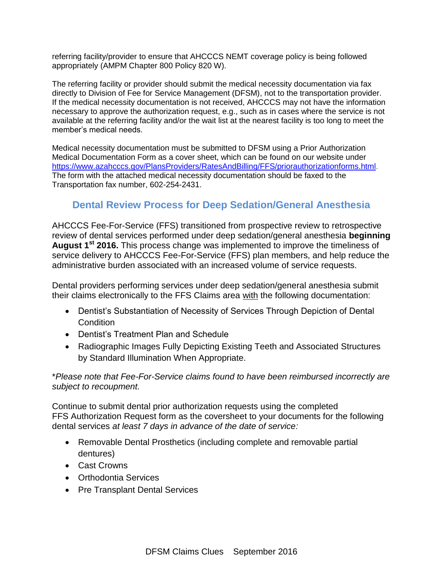referring facility/provider to ensure that AHCCCS NEMT coverage policy is being followed appropriately (AMPM Chapter 800 Policy 820 W).

The referring facility or provider should submit the medical necessity documentation via fax directly to Division of Fee for Service Management (DFSM), not to the transportation provider. If the medical necessity documentation is not received, AHCCCS may not have the information necessary to approve the authorization request, e.g., such as in cases where the service is not available at the referring facility and/or the wait list at the nearest facility is too long to meet the member's medical needs.

Medical necessity documentation must be submitted to DFSM using a Prior Authorization Medical Documentation Form as a cover sheet, which can be found on our website under [https://www.azahcccs.gov/PlansProviders/RatesAndBilling/FFS/priorauthorizationforms.html.](https://www.azahcccs.gov/PlansProviders/RatesAndBilling/FFS/priorauthorizationforms.html) The form with the attached medical necessity documentation should be faxed to the Transportation fax number, 602-254-2431.

#### **Dental Review Process for Deep Sedation/General Anesthesia**

AHCCCS Fee-For-Service (FFS) transitioned from prospective review to retrospective review of dental services performed under deep sedation/general anesthesia **beginning August 1st 2016.** This process change was implemented to improve the timeliness of service delivery to AHCCCS Fee-For-Service (FFS) plan members, and help reduce the administrative burden associated with an increased volume of service requests.

Dental providers performing services under deep sedation/general anesthesia submit their claims electronically to the FFS Claims area with the following documentation:

- Dentist's Substantiation of Necessity of Services Through Depiction of Dental **Condition**
- Dentist's Treatment Plan and Schedule
- Radiographic Images Fully Depicting Existing Teeth and Associated Structures by Standard Illumination When Appropriate.

\**Please note that Fee-For-Service claims found to have been reimbursed incorrectly are subject to recoupment.* 

Continue to submit dental prior authorization requests using the completed FFS Authorization Request form as the coversheet to your documents for the following dental services *at least 7 days in advance of the date of service:*

- Removable Dental Prosthetics (including complete and removable partial dentures)
- Cast Crowns
- Orthodontia Services
- Pre Transplant Dental Services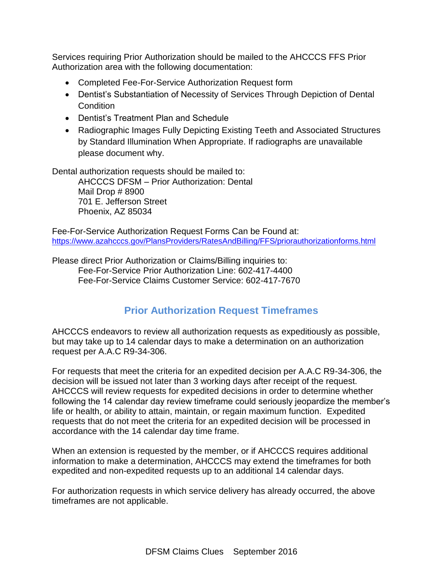Services requiring Prior Authorization should be mailed to the AHCCCS FFS Prior Authorization area with the following documentation:

- Completed Fee-For-Service Authorization Request form
- Dentist's Substantiation of Necessity of Services Through Depiction of Dental **Condition**
- Dentist's Treatment Plan and Schedule
- Radiographic Images Fully Depicting Existing Teeth and Associated Structures by Standard Illumination When Appropriate. If radiographs are unavailable please document why.

Dental authorization requests should be mailed to:

AHCCCS DFSM – Prior Authorization: Dental Mail Drop # 8900 701 E. Jefferson Street Phoenix, AZ 85034

Fee-For-Service Authorization Request Forms Can be Found at: <https://www.azahcccs.gov/PlansProviders/RatesAndBilling/FFS/priorauthorizationforms.html>

Please direct Prior Authorization or Claims/Billing inquiries to: Fee-For-Service Prior Authorization Line: 602-417-4400 Fee-For-Service Claims Customer Service: 602-417-7670

### **Prior Authorization Request Timeframes**

AHCCCS endeavors to review all authorization requests as expeditiously as possible, but may take up to 14 calendar days to make a determination on an authorization request per A.A.C R9-34-306.

For requests that meet the criteria for an expedited decision per A.A.C R9-34-306, the decision will be issued not later than 3 working days after receipt of the request. AHCCCS will review requests for expedited decisions in order to determine whether following the 14 calendar day review timeframe could seriously jeopardize the member's life or health, or ability to attain, maintain, or regain maximum function. Expedited requests that do not meet the criteria for an expedited decision will be processed in accordance with the 14 calendar day time frame.

When an extension is requested by the member, or if AHCCCS requires additional information to make a determination, AHCCCS may extend the timeframes for both expedited and non-expedited requests up to an additional 14 calendar days.

For authorization requests in which service delivery has already occurred, the above timeframes are not applicable.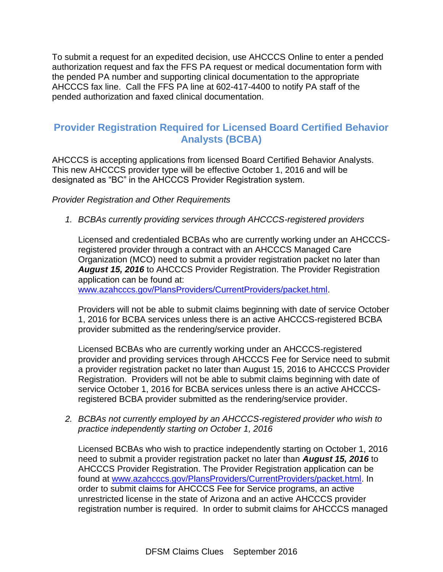To submit a request for an expedited decision, use AHCCCS Online to enter a pended authorization request and fax the FFS PA request or medical documentation form with the pended PA number and supporting clinical documentation to the appropriate AHCCCS fax line. Call the FFS PA line at 602-417-4400 to notify PA staff of the pended authorization and faxed clinical documentation.

#### **Provider Registration Required for Licensed Board Certified Behavior Analysts (BCBA)**

AHCCCS is accepting applications from licensed Board Certified Behavior Analysts. This new AHCCCS provider type will be effective October 1, 2016 and will be designated as "BC" in the AHCCCS Provider Registration system.

*Provider Registration and Other Requirements* 

*1. BCBAs currently providing services through AHCCCS-registered providers*

Licensed and credentialed BCBAs who are currently working under an AHCCCSregistered provider through a contract with an AHCCCS Managed Care Organization (MCO) need to submit a provider registration packet no later than *August 15, 2016* to AHCCCS Provider Registration. The Provider Registration application can be found at:

[www.azahcccs.gov/PlansProviders/CurrentProviders/packet.html.](http://www.azahcccs.gov/PlansProviders/CurrentProviders/packet.html)

Providers will not be able to submit claims beginning with date of service October 1, 2016 for BCBA services unless there is an active AHCCCS-registered BCBA provider submitted as the rendering/service provider.

Licensed BCBAs who are currently working under an AHCCCS-registered provider and providing services through AHCCCS Fee for Service need to submit a provider registration packet no later than August 15, 2016 to AHCCCS Provider Registration. Providers will not be able to submit claims beginning with date of service October 1, 2016 for BCBA services unless there is an active AHCCCSregistered BCBA provider submitted as the rendering/service provider.

*2. BCBAs not currently employed by an AHCCCS-registered provider who wish to practice independently starting on October 1, 2016*

Licensed BCBAs who wish to practice independently starting on October 1, 2016 need to submit a provider registration packet no later than *August 15, 2016* to AHCCCS Provider Registration. The Provider Registration application can be found at [www.azahcccs.gov/PlansProviders/CurrentProviders/packet.html.](http://www.azahcccs.gov/PlansProviders/CurrentProviders/packet.html) In order to submit claims for AHCCCS Fee for Service programs, an active unrestricted license in the state of Arizona and an active AHCCCS provider registration number is required. In order to submit claims for AHCCCS managed